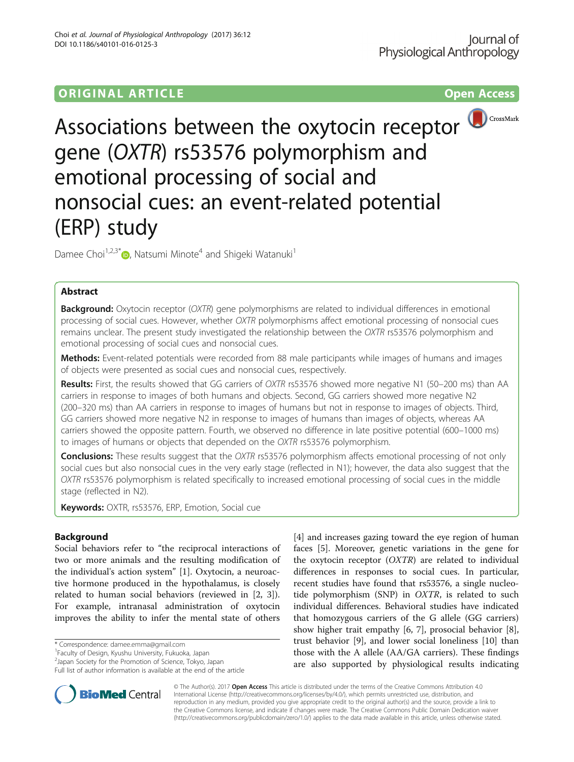# ORIGINAL ARTICLE **CONSERVANCE CONSERVANCE CONSERVANCE CONSERVANCE CONSERVANCE CONSERVANCE CONSERVANCE CONSERVANCE**



Associations between the oxytocin receptor gene (OXTR) rs53576 polymorphism and emotional processing of social and nonsocial cues: an event-related potential (ERP) study

Damee Choi<sup>1[,](http://orcid.org/0000-0002-0283-3044)2,3\*</sup> $\bullet$ , Natsumi Minote<sup>4</sup> and Shigeki Watanuki<sup>1</sup>

## Abstract

**Background:** Oxytocin receptor (OXTR) gene polymorphisms are related to individual differences in emotional processing of social cues. However, whether OXTR polymorphisms affect emotional processing of nonsocial cues remains unclear. The present study investigated the relationship between the OXTR rs53576 polymorphism and emotional processing of social cues and nonsocial cues.

Methods: Event-related potentials were recorded from 88 male participants while images of humans and images of objects were presented as social cues and nonsocial cues, respectively.

Results: First, the results showed that GG carriers of OXTR rs53576 showed more negative N1 (50–200 ms) than AA carriers in response to images of both humans and objects. Second, GG carriers showed more negative N2 (200–320 ms) than AA carriers in response to images of humans but not in response to images of objects. Third, GG carriers showed more negative N2 in response to images of humans than images of objects, whereas AA carriers showed the opposite pattern. Fourth, we observed no difference in late positive potential (600–1000 ms) to images of humans or objects that depended on the OXTR rs53576 polymorphism.

Conclusions: These results suggest that the OXTR rs53576 polymorphism affects emotional processing of not only social cues but also nonsocial cues in the very early stage (reflected in N1); however, the data also suggest that the OXTR rs53576 polymorphism is related specifically to increased emotional processing of social cues in the middle stage (reflected in N2).

Keywords: OXTR, rs53576, ERP, Emotion, Social cue

## Background

Social behaviors refer to "the reciprocal interactions of two or more animals and the resulting modification of the individual's action system" [\[1](#page-8-0)]. Oxytocin, a neuroactive hormone produced in the hypothalamus, is closely related to human social behaviors (reviewed in [\[2](#page-8-0), [3](#page-8-0)]). For example, intranasal administration of oxytocin improves the ability to infer the mental state of others

\* Correspondence: [damee.emma@gmail.com](mailto:damee.emma@gmail.com) <sup>1</sup>

Full list of author information is available at the end of the article

[[4\]](#page-8-0) and increases gazing toward the eye region of human faces [[5](#page-8-0)]. Moreover, genetic variations in the gene for the oxytocin receptor  $(OXTR)$  are related to individual differences in responses to social cues. In particular, recent studies have found that rs53576, a single nucleotide polymorphism (SNP) in OXTR, is related to such individual differences. Behavioral studies have indicated that homozygous carriers of the G allele (GG carriers) show higher trait empathy [[6](#page-8-0), [7](#page-8-0)], prosocial behavior [\[8](#page-8-0)], trust behavior [[9\]](#page-8-0), and lower social loneliness [\[10](#page-8-0)] than those with the A allele (AA/GA carriers). These findings are also supported by physiological results indicating



© The Author(s). 2017 **Open Access** This article is distributed under the terms of the Creative Commons Attribution 4.0 International License [\(http://creativecommons.org/licenses/by/4.0/](http://creativecommons.org/licenses/by/4.0/)), which permits unrestricted use, distribution, and reproduction in any medium, provided you give appropriate credit to the original author(s) and the source, provide a link to the Creative Commons license, and indicate if changes were made. The Creative Commons Public Domain Dedication waiver [\(http://creativecommons.org/publicdomain/zero/1.0/](http://creativecommons.org/publicdomain/zero/1.0/)) applies to the data made available in this article, unless otherwise stated.

<sup>&</sup>lt;sup>1</sup> Faculty of Design, Kyushu University, Fukuoka, Japan

<sup>2</sup> Japan Society for the Promotion of Science, Tokyo, Japan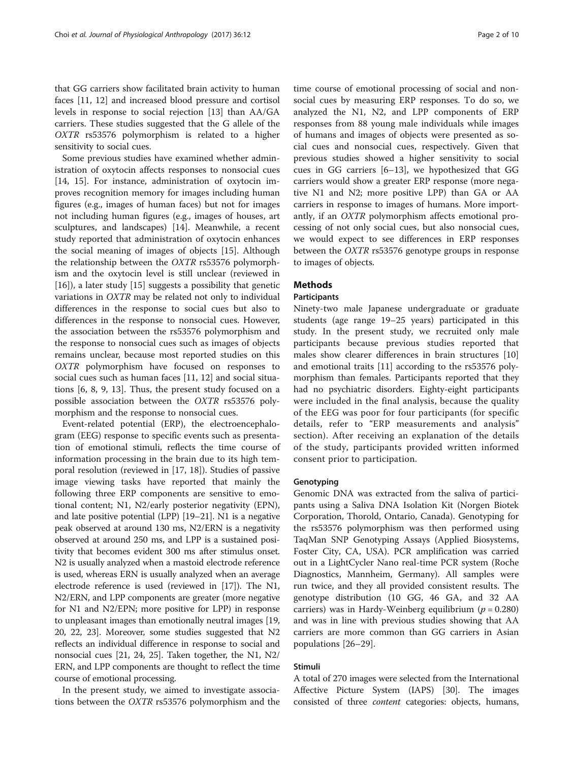that GG carriers show facilitated brain activity to human faces [\[11](#page-9-0), [12\]](#page-9-0) and increased blood pressure and cortisol levels in response to social rejection [[13\]](#page-9-0) than AA/GA carriers. These studies suggested that the G allele of the OXTR rs53576 polymorphism is related to a higher sensitivity to social cues.

Some previous studies have examined whether administration of oxytocin affects responses to nonsocial cues [[14, 15\]](#page-9-0). For instance, administration of oxytocin improves recognition memory for images including human figures (e.g., images of human faces) but not for images not including human figures (e.g., images of houses, art sculptures, and landscapes) [[14\]](#page-9-0). Meanwhile, a recent study reported that administration of oxytocin enhances the social meaning of images of objects [[15\]](#page-9-0). Although the relationship between the OXTR rs53576 polymorphism and the oxytocin level is still unclear (reviewed in [[16\]](#page-9-0)), a later study [\[15\]](#page-9-0) suggests a possibility that genetic variations in OXTR may be related not only to individual differences in the response to social cues but also to differences in the response to nonsocial cues. However, the association between the rs53576 polymorphism and the response to nonsocial cues such as images of objects remains unclear, because most reported studies on this OXTR polymorphism have focused on responses to social cues such as human faces [\[11](#page-9-0), [12](#page-9-0)] and social situations [[6](#page-8-0), [8](#page-8-0), [9,](#page-8-0) [13\]](#page-9-0). Thus, the present study focused on a possible association between the OXTR rs53576 polymorphism and the response to nonsocial cues.

Event-related potential (ERP), the electroencephalogram (EEG) response to specific events such as presentation of emotional stimuli, reflects the time course of information processing in the brain due to its high temporal resolution (reviewed in [[17](#page-9-0), [18\]](#page-9-0)). Studies of passive image viewing tasks have reported that mainly the following three ERP components are sensitive to emotional content; N1, N2/early posterior negativity (EPN), and late positive potential (LPP) [\[19](#page-9-0)–[21](#page-9-0)]. N1 is a negative peak observed at around 130 ms, N2/ERN is a negativity observed at around 250 ms, and LPP is a sustained positivity that becomes evident 300 ms after stimulus onset. N2 is usually analyzed when a mastoid electrode reference is used, whereas ERN is usually analyzed when an average electrode reference is used (reviewed in [[17](#page-9-0)]). The N1, N2/ERN, and LPP components are greater (more negative for N1 and N2/EPN; more positive for LPP) in response to unpleasant images than emotionally neutral images [[19](#page-9-0), [20](#page-9-0), [22, 23\]](#page-9-0). Moreover, some studies suggested that N2 reflects an individual difference in response to social and nonsocial cues [\[21, 24](#page-9-0), [25](#page-9-0)]. Taken together, the N1, N2/ ERN, and LPP components are thought to reflect the time course of emotional processing.

In the present study, we aimed to investigate associations between the OXTR rs53576 polymorphism and the

time course of emotional processing of social and nonsocial cues by measuring ERP responses. To do so, we analyzed the N1, N2, and LPP components of ERP responses from 88 young male individuals while images of humans and images of objects were presented as social cues and nonsocial cues, respectively. Given that previous studies showed a higher sensitivity to social cues in GG carriers [\[6](#page-8-0)–[13\]](#page-9-0), we hypothesized that GG carriers would show a greater ERP response (more negative N1 and N2; more positive LPP) than GA or AA carriers in response to images of humans. More importantly, if an OXTR polymorphism affects emotional processing of not only social cues, but also nonsocial cues, we would expect to see differences in ERP responses between the OXTR rs53576 genotype groups in response to images of objects.

## **Methods**

### **Participants**

Ninety-two male Japanese undergraduate or graduate students (age range 19–25 years) participated in this study. In the present study, we recruited only male participants because previous studies reported that males show clearer differences in brain structures [[10](#page-8-0)] and emotional traits [[11\]](#page-9-0) according to the rs53576 polymorphism than females. Participants reported that they had no psychiatric disorders. Eighty-eight participants were included in the final analysis, because the quality of the EEG was poor for four participants (for specific details, refer to "[ERP measurements and analysis](#page-2-0)" section). After receiving an explanation of the details of the study, participants provided written informed consent prior to participation.

### **Genotyping**

Genomic DNA was extracted from the saliva of participants using a Saliva DNA Isolation Kit (Norgen Biotek Corporation, Thorold, Ontario, Canada). Genotyping for the rs53576 polymorphism was then performed using TaqMan SNP Genotyping Assays (Applied Biosystems, Foster City, CA, USA). PCR amplification was carried out in a LightCycler Nano real-time PCR system (Roche Diagnostics, Mannheim, Germany). All samples were run twice, and they all provided consistent results. The genotype distribution (10 GG, 46 GA, and 32 AA carriers) was in Hardy-Weinberg equilibrium ( $p = 0.280$ ) and was in line with previous studies showing that AA carriers are more common than GG carriers in Asian populations [[26](#page-9-0)–[29](#page-9-0)].

### Stimuli

A total of 270 images were selected from the International Affective Picture System (IAPS) [\[30](#page-9-0)]. The images consisted of three content categories: objects, humans,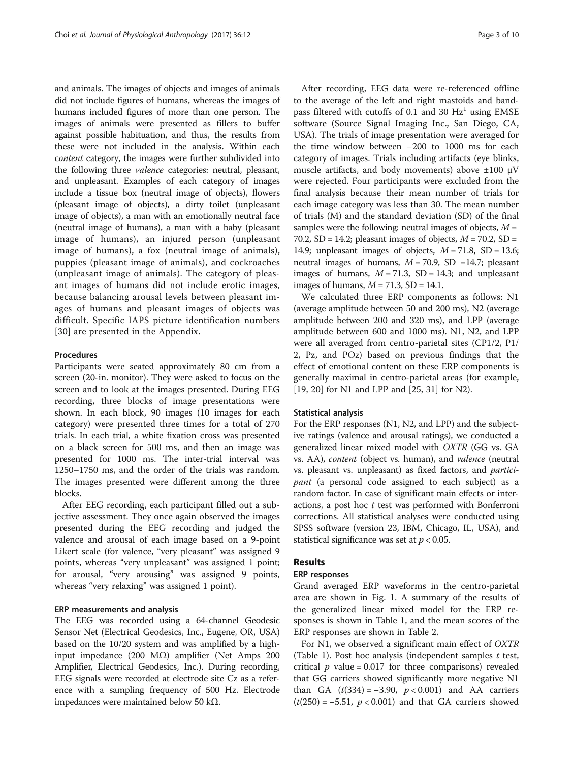<span id="page-2-0"></span>and animals. The images of objects and images of animals did not include figures of humans, whereas the images of humans included figures of more than one person. The images of animals were presented as fillers to buffer against possible habituation, and thus, the results from these were not included in the analysis. Within each content category, the images were further subdivided into the following three valence categories: neutral, pleasant, and unpleasant. Examples of each category of images include a tissue box (neutral image of objects), flowers (pleasant image of objects), a dirty toilet (unpleasant image of objects), a man with an emotionally neutral face (neutral image of humans), a man with a baby (pleasant image of humans), an injured person (unpleasant image of humans), a fox (neutral image of animals), puppies (pleasant image of animals), and cockroaches (unpleasant image of animals). The category of pleasant images of humans did not include erotic images, because balancing arousal levels between pleasant images of humans and pleasant images of objects was difficult. Specific IAPS picture identification numbers [[30](#page-9-0)] are presented in the [Appendix.](#page-8-0)

### Procedures

Participants were seated approximately 80 cm from a screen (20-in. monitor). They were asked to focus on the screen and to look at the images presented. During EEG recording, three blocks of image presentations were shown. In each block, 90 images (10 images for each category) were presented three times for a total of 270 trials. In each trial, a white fixation cross was presented on a black screen for 500 ms, and then an image was presented for 1000 ms. The inter-trial interval was 1250–1750 ms, and the order of the trials was random. The images presented were different among the three blocks.

After EEG recording, each participant filled out a subjective assessment. They once again observed the images presented during the EEG recording and judged the valence and arousal of each image based on a 9-point Likert scale (for valence, "very pleasant" was assigned 9 points, whereas "very unpleasant" was assigned 1 point; for arousal, "very arousing" was assigned 9 points, whereas "very relaxing" was assigned 1 point).

## ERP measurements and analysis

The EEG was recorded using a 64-channel Geodesic Sensor Net (Electrical Geodesics, Inc., Eugene, OR, USA) based on the 10/20 system and was amplified by a highinput impedance (200 MΩ) amplifier (Net Amps 200 Amplifier, Electrical Geodesics, Inc.). During recording, EEG signals were recorded at electrode site Cz as a reference with a sampling frequency of 500 Hz. Electrode impedances were maintained below 50 kΩ.

After recording, EEG data were re-referenced offline to the average of the left and right mastoids and bandpass filtered with cutoffs of 0.1 and 30  $Hz<sup>1</sup>$  using EMSE software (Source Signal Imaging Inc., San Diego, CA, USA). The trials of image presentation were averaged for the time window between −200 to 1000 ms for each category of images. Trials including artifacts (eye blinks, muscle artifacts, and body movements) above ±100 μV were rejected. Four participants were excluded from the final analysis because their mean number of trials for each image category was less than 30. The mean number of trials (M) and the standard deviation (SD) of the final samples were the following: neutral images of objects,  $M =$ 70.2,  $SD = 14.2$ ; pleasant images of objects,  $M = 70.2$ ,  $SD =$ 14.9; unpleasant images of objects,  $M = 71.8$ , SD = 13.6; neutral images of humans,  $M = 70.9$ , SD =14.7; pleasant images of humans,  $M = 71.3$ , SD = 14.3; and unpleasant images of humans,  $M = 71.3$ , SD = 14.1.

We calculated three ERP components as follows: N1 (average amplitude between 50 and 200 ms), N2 (average amplitude between 200 and 320 ms), and LPP (average amplitude between 600 and 1000 ms). N1, N2, and LPP were all averaged from centro-parietal sites (CP1/2, P1/ 2, Pz, and POz) based on previous findings that the effect of emotional content on these ERP components is generally maximal in centro-parietal areas (for example, [[19, 20\]](#page-9-0) for N1 and LPP and [\[25](#page-9-0), [31\]](#page-9-0) for N2).

#### Statistical analysis

For the ERP responses (N1, N2, and LPP) and the subjective ratings (valence and arousal ratings), we conducted a generalized linear mixed model with OXTR (GG vs. GA vs. AA), content (object vs. human), and valence (neutral vs. pleasant vs. unpleasant) as fixed factors, and participant (a personal code assigned to each subject) as a random factor. In case of significant main effects or interactions, a post hoc  $t$  test was performed with Bonferroni corrections. All statistical analyses were conducted using SPSS software (version 23, IBM, Chicago, IL, USA), and statistical significance was set at  $p < 0.05$ .

## Results

### ERP responses

Grand averaged ERP waveforms in the centro-parietal area are shown in Fig. [1.](#page-3-0) A summary of the results of the generalized linear mixed model for the ERP responses is shown in Table [1](#page-3-0), and the mean scores of the ERP responses are shown in Table [2.](#page-4-0)

For N1, we observed a significant main effect of OXTR (Table [1\)](#page-3-0). Post hoc analysis (independent samples  $t$  test, critical  $p$  value = 0.017 for three comparisons) revealed that GG carriers showed significantly more negative N1 than GA  $(t(334) = -3.90, p < 0.001)$  and AA carriers  $(t(250) = -5.51, p < 0.001)$  and that GA carriers showed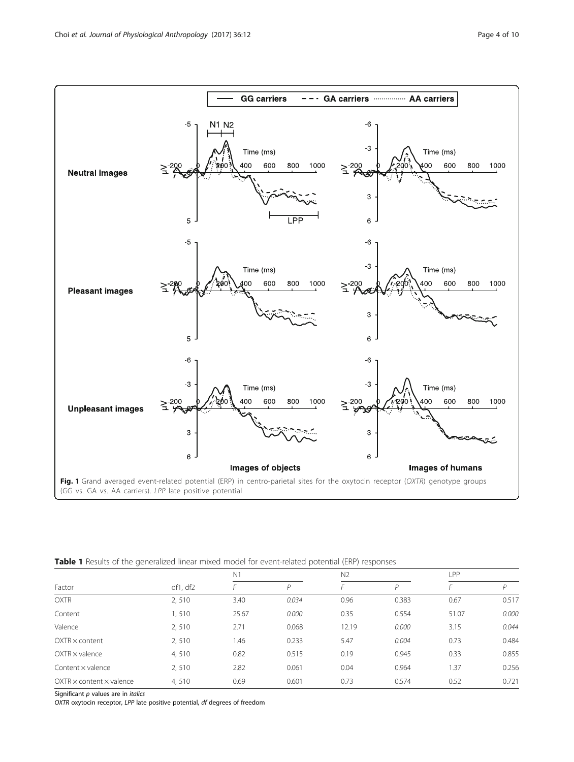<span id="page-3-0"></span>

|  |  |  |  | Table 1 Results of the generalized linear mixed model for event-related potential (ERP) responses |  |  |
|--|--|--|--|---------------------------------------------------------------------------------------------------|--|--|
|--|--|--|--|---------------------------------------------------------------------------------------------------|--|--|

|                                      |          | N <sub>1</sub> |       |       | N <sub>2</sub> |       | LPP.  |  |
|--------------------------------------|----------|----------------|-------|-------|----------------|-------|-------|--|
| Factor                               | df1, df2 |                | P     |       | D              |       | D     |  |
| <b>OXTR</b>                          | 2,510    | 3.40           | 0.034 | 0.96  | 0.383          | 0.67  | 0.517 |  |
| Content                              | 1,510    | 25.67          | 0.000 | 0.35  | 0.554          | 51.07 | 0.000 |  |
| Valence                              | 2,510    | 2.71           | 0.068 | 12.19 | 0.000          | 3.15  | 0.044 |  |
| $OXTR \times content$                | 2,510    | 1.46           | 0.233 | 5.47  | 0.004          | 0.73  | 0.484 |  |
| $OXTR \times$ valence                | 4,510    | 0.82           | 0.515 | 0.19  | 0.945          | 0.33  | 0.855 |  |
| Content x valence                    | 2,510    | 2.82           | 0.061 | 0.04  | 0.964          | 1.37  | 0.256 |  |
| $OXTR \times content \times valence$ | 4,510    | 0.69           | 0.601 | 0.73  | 0.574          | 0.52  | 0.721 |  |

Significant  $p$  values are in *italics* 

OXTR oxytocin receptor, LPP late positive potential, df degrees of freedom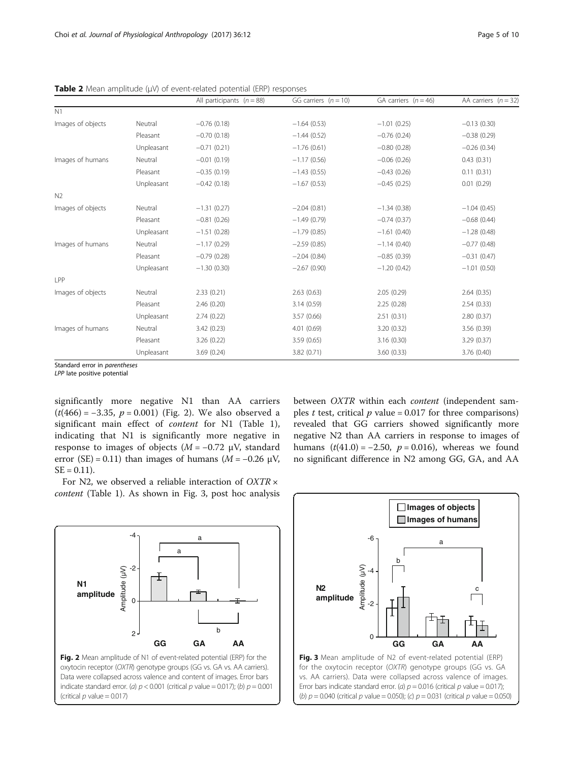|                   |            | All participants $(n = 88)$ | GG carriers $(n = 10)$ | GA carriers $(n = 46)$ | AA carriers $(n = 32)$ |
|-------------------|------------|-----------------------------|------------------------|------------------------|------------------------|
| N1                |            |                             |                        |                        |                        |
| Images of objects | Neutral    | $-0.76(0.18)$               | $-1.64(0.53)$          | $-1.01(0.25)$          | $-0.13(0.30)$          |
|                   | Pleasant   | $-0.70(0.18)$               | $-1.44(0.52)$          | $-0.76(0.24)$          | $-0.38(0.29)$          |
|                   | Unpleasant | $-0.71(0.21)$               | $-1.76(0.61)$          | $-0.80(0.28)$          | $-0.26(0.34)$          |
| Images of humans  | Neutral    | $-0.01(0.19)$               | $-1.17(0.56)$          | $-0.06(0.26)$          | 0.43(0.31)             |
|                   | Pleasant   | $-0.35(0.19)$               | $-1.43(0.55)$          | $-0.43(0.26)$          | 0.11(0.31)             |
|                   | Unpleasant | $-0.42(0.18)$               | $-1.67(0.53)$          | $-0.45(0.25)$          | 0.01(0.29)             |
| N <sub>2</sub>    |            |                             |                        |                        |                        |
| Images of objects | Neutral    | $-1.31(0.27)$               | $-2.04(0.81)$          | $-1.34(0.38)$          | $-1.04(0.45)$          |
|                   | Pleasant   | $-0.81(0.26)$               | $-1.49(0.79)$          | $-0.74(0.37)$          | $-0.68(0.44)$          |
|                   | Unpleasant | $-1.51(0.28)$               | $-1.79(0.85)$          | $-1.61(0.40)$          | $-1.28(0.48)$          |
| Images of humans  | Neutral    | $-1.17(0.29)$               | $-2.59(0.85)$          | $-1.14(0.40)$          | $-0.77(0.48)$          |
|                   | Pleasant   | $-0.79(0.28)$               | $-2.04(0.84)$          | $-0.85(0.39)$          | $-0.31(0.47)$          |
|                   | Unpleasant | $-1.30(0.30)$               | $-2.67(0.90)$          | $-1.20(0.42)$          | $-1.01(0.50)$          |
| LPP               |            |                             |                        |                        |                        |
| Images of objects | Neutral    | 2.33(0.21)                  | 2.63(0.63)             | 2.05(0.29)             | 2.64(0.35)             |
|                   | Pleasant   | 2.46(0.20)                  | 3.14(0.59)             | 2.25(0.28)             | 2.54(0.33)             |
|                   | Unpleasant | 2.74(0.22)                  | 3.57(0.66)             | 2.51(0.31)             | 2.80(0.37)             |
| Images of humans  | Neutral    | 3.42(0.23)                  | 4.01(0.69)             | 3.20 (0.32)            | 3.56 (0.39)            |
|                   | Pleasant   | 3.26 (0.22)                 | 3.59(0.65)             | 3.16 (0.30)            | 3.29(0.37)             |
|                   | Unpleasant | 3.69(0.24)                  | 3.82 (0.71)            | 3.60(0.33)             | 3.76(0.40)             |

<span id="page-4-0"></span>Table 2 Mean amplitude (μV) of event-related potential (ERP) responses

Standard error in parentheses

LPP late positive potential

significantly more negative N1 than AA carriers  $(t(466) = -3.35, p = 0.001)$  (Fig. 2). We also observed a significant main effect of content for N1 (Table [1](#page-3-0)), indicating that N1 is significantly more negative in response to images of objects  $(M = -0.72 \mu V,$  standard error (SE) = 0.11) than images of humans ( $M = -0.26 \mu V$ ,  $SE = 0.11$ .

For N2, we observed a reliable interaction of  $OXTR \times$ content (Table [1](#page-3-0)). As shown in Fig. 3, post hoc analysis

between OXTR within each *content* (independent samples *t* test, critical  $p$  value = 0.017 for three comparisons) revealed that GG carriers showed significantly more negative N2 than AA carriers in response to images of humans  $(t(41.0) = -2.50, p = 0.016)$ , whereas we found no significant difference in N2 among GG, GA, and AA





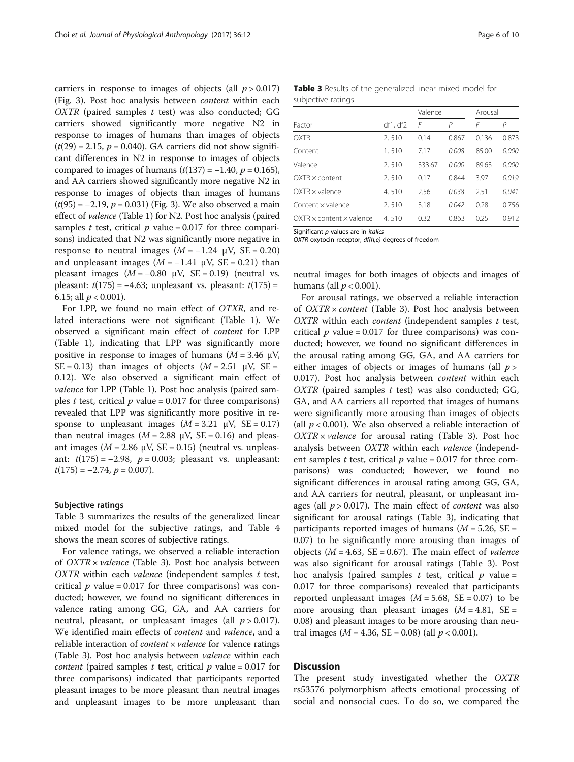carriers in response to images of objects (all  $p > 0.017$ ) (Fig. [3\)](#page-4-0). Post hoc analysis between content within each  $OXTR$  (paired samples  $t$  test) was also conducted; GG carriers showed significantly more negative N2 in response to images of humans than images of objects  $(t(29) = 2.15, p = 0.040)$ . GA carriers did not show significant differences in N2 in response to images of objects compared to images of humans  $(t(137) = -1.40, p = 0.165)$ , and AA carriers showed significantly more negative N2 in response to images of objects than images of humans  $(t(95) = -2.19, p = 0.031)$  (Fig. [3\)](#page-4-0). We also observed a main effect of valence (Table [1\)](#page-3-0) for N2. Post hoc analysis (paired samples t test, critical  $p$  value = 0.017 for three comparisons) indicated that N2 was significantly more negative in response to neutral images  $(M = -1.24 \mu V, SE = 0.20)$ and unpleasant images ( $M = -1.41$  µV, SE = 0.21) than pleasant images ( $M = -0.80$  µV, SE = 0.19) (neutral vs. pleasant:  $t(175) = -4.63$ ; unpleasant vs. pleasant:  $t(175) =$ 6.15; all  $p < 0.001$ ).

For LPP, we found no main effect of OTXR, and related interactions were not significant (Table [1](#page-3-0)). We observed a significant main effect of content for LPP (Table [1\)](#page-3-0), indicating that LPP was significantly more positive in response to images of humans ( $M = 3.46 \mu V$ , SE = 0.13) than images of objects  $(M = 2.51 \text{ }\mu\text{V}, \text{SE} =$ 0.12). We also observed a significant main effect of valence for LPP (Table [1](#page-3-0)). Post hoc analysis (paired samples t test, critical  $p$  value = 0.017 for three comparisons) revealed that LPP was significantly more positive in response to unpleasant images  $(M = 3.21 \text{ }\mu\text{V}, \text{ } \text{SE} = 0.17)$ than neutral images ( $M = 2.88 \mu V$ , SE = 0.16) and pleasant images ( $M = 2.86 \mu V$ , SE = 0.15) (neutral vs. unpleasant:  $t(175) = -2.98$ ,  $p = 0.003$ ; pleasant vs. unpleasant:  $t(175) = -2.74$ ,  $p = 0.007$ ).

#### Subjective ratings

Table 3 summarizes the results of the generalized linear mixed model for the subjective ratings, and Table [4](#page-6-0) shows the mean scores of subjective ratings.

For valence ratings, we observed a reliable interaction of  $OXTR \times valence$  (Table 3). Post hoc analysis between  $OXTR$  within each *valence* (independent samples  $t$  test, critical  $p$  value = 0.017 for three comparisons) was conducted; however, we found no significant differences in valence rating among GG, GA, and AA carriers for neutral, pleasant, or unpleasant images (all  $p > 0.017$ ). We identified main effects of *content* and *valence*, and a reliable interaction of *content*  $\times$  *valence* for valence ratings (Table 3). Post hoc analysis between valence within each *content* (paired samples t test, critical  $p$  value = 0.017 for three comparisons) indicated that participants reported pleasant images to be more pleasant than neutral images and unpleasant images to be more unpleasant than

|                    |  | Table 3 Results of the generalized linear mixed model for |  |  |
|--------------------|--|-----------------------------------------------------------|--|--|
| subjective ratings |  |                                                           |  |  |

|                                      |          | Valence |                | Arousal |       |
|--------------------------------------|----------|---------|----------------|---------|-------|
| Factor                               | df1, df2 | F       | $\overline{P}$ | F       | Р     |
| <b>OXTR</b>                          | 2,510    | 0.14    | 0.867          | 0.136   | 0.873 |
| Content                              | 1,510    | 7.17    | 0.008          | 85.00   | 0.000 |
| Valence                              | 2,510    | 333.67  | 0.000          | 89.63   | 0.000 |
| $OXTR \times content$                | 2,510    | 0.17    | 0.844          | 3.97    | 0.019 |
| $OXTR \times value$ nce              | 4,510    | 2.56    | 0.038          | 2.51    | 0.041 |
| Content $\times$ valence             | 2,510    | 3.18    | 0.042          | 0.28    | 0.756 |
| $OXTR \times content \times valence$ | 4.510    | 0.32    | 0.863          | 0.25    | 0.912 |

Significant p values are in *italics* 

OXTR oxytocin receptor, df(h,e) degrees of freedom

neutral images for both images of objects and images of humans (all  $p < 0.001$ ).

For arousal ratings, we observed a reliable interaction of OXTR × content (Table 3). Post hoc analysis between  $OXTR$  within each *content* (independent samples  $t$  test, critical  $p$  value = 0.017 for three comparisons) was conducted; however, we found no significant differences in the arousal rating among GG, GA, and AA carriers for either images of objects or images of humans (all  $p >$ 0.017). Post hoc analysis between content within each  $OXTR$  (paired samples  $t$  test) was also conducted; GG, GA, and AA carriers all reported that images of humans were significantly more arousing than images of objects (all  $p < 0.001$ ). We also observed a reliable interaction of  $OXTR \times valence$  for arousal rating (Table 3). Post hoc analysis between OXTR within each valence (independent samples t test, critical  $p$  value = 0.017 for three comparisons) was conducted; however, we found no significant differences in arousal rating among GG, GA, and AA carriers for neutral, pleasant, or unpleasant images (all  $p > 0.017$ ). The main effect of *content* was also significant for arousal ratings (Table 3), indicating that participants reported images of humans ( $M = 5.26$ , SE = 0.07) to be significantly more arousing than images of objects ( $M = 4.63$ , SE = 0.67). The main effect of *valence* was also significant for arousal ratings (Table 3). Post hoc analysis (paired samples t test, critical  $p$  value = 0.017 for three comparisons) revealed that participants reported unpleasant images ( $M = 5.68$ , SE = 0.07) to be more arousing than pleasant images  $(M = 4.81, SE =$ 0.08) and pleasant images to be more arousing than neutral images ( $M = 4.36$ , SE = 0.08) (all  $p < 0.001$ ).

## **Discussion**

The present study investigated whether the OXTR rs53576 polymorphism affects emotional processing of social and nonsocial cues. To do so, we compared the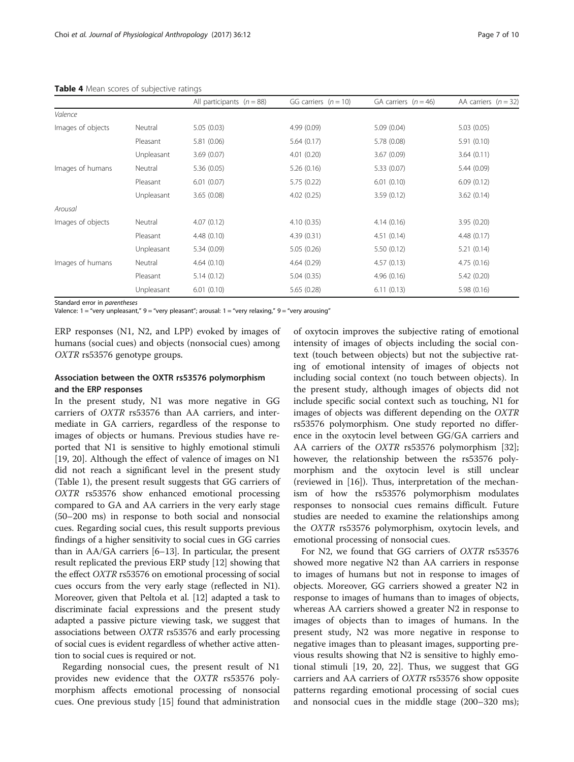|                   |            | All participants $(n = 88)$ | GG carriers $(n = 10)$ | GA carriers $(n = 46)$ | AA carriers $(n = 32)$ |
|-------------------|------------|-----------------------------|------------------------|------------------------|------------------------|
| Valence           |            |                             |                        |                        |                        |
| Images of objects | Neutral    | 5.05(0.03)                  | 4.99 (0.09)            | 5.09(0.04)             | 5.03(0.05)             |
|                   | Pleasant   | 5.81(0.06)                  | 5.64(0.17)             | 5.78 (0.08)            | 5.91(0.10)             |
|                   | Unpleasant | 3.69(0.07)                  | 4.01(0.20)             | 3.67(0.09)             | 3.64(0.11)             |
| Images of humans  | Neutral    | 5.36(0.05)                  | 5.26(0.16)             | 5.33(0.07)             | 5.44(0.09)             |
|                   | Pleasant   | 6.01(0.07)                  | 5.75(0.22)             | 6.01(0.10)             | 6.09(0.12)             |
|                   | Unpleasant | 3.65(0.08)                  | 4.02(0.25)             | 3.59(0.12)             | 3.62(0.14)             |
| Arousal           |            |                             |                        |                        |                        |
| Images of objects | Neutral    | 4.07(0.12)                  | 4.10(0.35)             | 4.14(0.16)             | 3.95(0.20)             |
|                   | Pleasant   | 4.48(0.10)                  | 4.39(0.31)             | 4.51(0.14)             | 4.48(0.17)             |
|                   | Unpleasant | 5.34(0.09)                  | 5.05(0.26)             | 5.50(0.12)             | 5.21(0.14)             |
| Images of humans  | Neutral    | 4.64(0.10)                  | 4.64(0.29)             | 4.57(0.13)             | 4.75(0.16)             |
|                   | Pleasant   | 5.14(0.12)                  | 5.04(0.35)             | 4.96(0.16)             | 5.42(0.20)             |
|                   | Unpleasant | 6.01(0.10)                  | 5.65(0.28)             | 6.11(0.13)             | 5.98(0.16)             |

#### <span id="page-6-0"></span>Table 4 Mean scores of subjective ratings

Standard error in parentheses

Valence: 1 = "very unpleasant," 9 = "very pleasant"; arousal: 1 = "very relaxing," 9 = "very arousing"

ERP responses (N1, N2, and LPP) evoked by images of humans (social cues) and objects (nonsocial cues) among OXTR rs53576 genotype groups.

## Association between the OXTR rs53576 polymorphism and the ERP responses

In the present study, N1 was more negative in GG carriers of OXTR rs53576 than AA carriers, and intermediate in GA carriers, regardless of the response to images of objects or humans. Previous studies have reported that N1 is sensitive to highly emotional stimuli [[19, 20\]](#page-9-0). Although the effect of valence of images on N1 did not reach a significant level in the present study (Table [1](#page-3-0)), the present result suggests that GG carriers of OXTR rs53576 show enhanced emotional processing compared to GA and AA carriers in the very early stage (50–200 ms) in response to both social and nonsocial cues. Regarding social cues, this result supports previous findings of a higher sensitivity to social cues in GG carries than in AA/GA carriers [[6](#page-8-0)–[13\]](#page-9-0). In particular, the present result replicated the previous ERP study [\[12\]](#page-9-0) showing that the effect OXTR rs53576 on emotional processing of social cues occurs from the very early stage (reflected in N1). Moreover, given that Peltola et al. [\[12\]](#page-9-0) adapted a task to discriminate facial expressions and the present study adapted a passive picture viewing task, we suggest that associations between OXTR rs53576 and early processing of social cues is evident regardless of whether active attention to social cues is required or not.

Regarding nonsocial cues, the present result of N1 provides new evidence that the OXTR rs53576 polymorphism affects emotional processing of nonsocial cues. One previous study [[15\]](#page-9-0) found that administration

of oxytocin improves the subjective rating of emotional intensity of images of objects including the social context (touch between objects) but not the subjective rating of emotional intensity of images of objects not including social context (no touch between objects). In the present study, although images of objects did not include specific social context such as touching, N1 for images of objects was different depending on the OXTR rs53576 polymorphism. One study reported no difference in the oxytocin level between GG/GA carriers and AA carriers of the *OXTR* rs53576 polymorphism [\[32](#page-9-0)]; however, the relationship between the rs53576 polymorphism and the oxytocin level is still unclear (reviewed in [\[16](#page-9-0)]). Thus, interpretation of the mechanism of how the rs53576 polymorphism modulates responses to nonsocial cues remains difficult. Future studies are needed to examine the relationships among the OXTR rs53576 polymorphism, oxytocin levels, and emotional processing of nonsocial cues.

For N2, we found that GG carriers of OXTR rs53576 showed more negative N2 than AA carriers in response to images of humans but not in response to images of objects. Moreover, GG carriers showed a greater N2 in response to images of humans than to images of objects, whereas AA carriers showed a greater N2 in response to images of objects than to images of humans. In the present study, N2 was more negative in response to negative images than to pleasant images, supporting previous results showing that N2 is sensitive to highly emotional stimuli [\[19](#page-9-0), [20](#page-9-0), [22](#page-9-0)]. Thus, we suggest that GG carriers and AA carriers of OXTR rs53576 show opposite patterns regarding emotional processing of social cues and nonsocial cues in the middle stage (200–320 ms);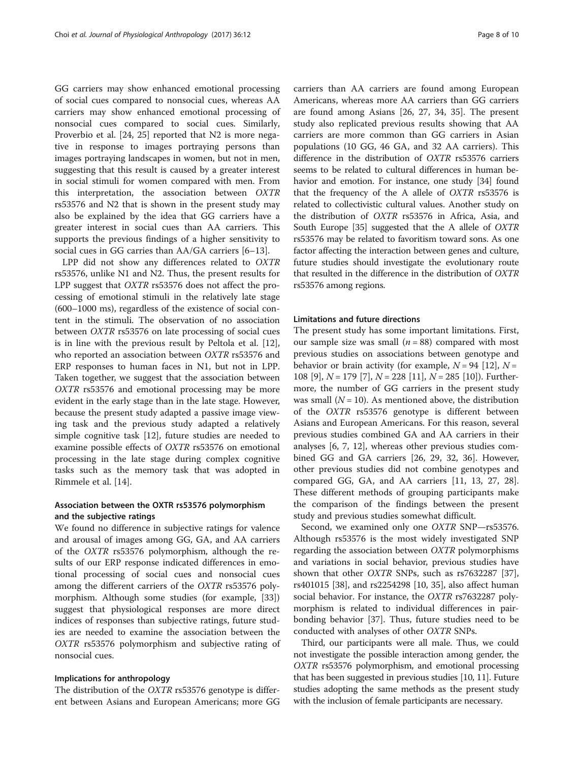GG carriers may show enhanced emotional processing of social cues compared to nonsocial cues, whereas AA carriers may show enhanced emotional processing of nonsocial cues compared to social cues. Similarly, Proverbio et al. [[24, 25](#page-9-0)] reported that N2 is more negative in response to images portraying persons than images portraying landscapes in women, but not in men, suggesting that this result is caused by a greater interest in social stimuli for women compared with men. From this interpretation, the association between OXTR rs53576 and N2 that is shown in the present study may also be explained by the idea that GG carriers have a greater interest in social cues than AA carriers. This supports the previous findings of a higher sensitivity to social cues in GG carries than AA/GA carriers [\[6](#page-8-0)–[13\]](#page-9-0).

LPP did not show any differences related to OXTR rs53576, unlike N1 and N2. Thus, the present results for LPP suggest that OXTR rs53576 does not affect the processing of emotional stimuli in the relatively late stage (600–1000 ms), regardless of the existence of social content in the stimuli. The observation of no association between OXTR rs53576 on late processing of social cues is in line with the previous result by Peltola et al. [\[12](#page-9-0)], who reported an association between OXTR rs53576 and ERP responses to human faces in N1, but not in LPP. Taken together, we suggest that the association between OXTR rs53576 and emotional processing may be more evident in the early stage than in the late stage. However, because the present study adapted a passive image viewing task and the previous study adapted a relatively simple cognitive task [\[12\]](#page-9-0), future studies are needed to examine possible effects of OXTR rs53576 on emotional processing in the late stage during complex cognitive tasks such as the memory task that was adopted in Rimmele et al. [[14](#page-9-0)].

## Association between the OXTR rs53576 polymorphism and the subjective ratings

We found no difference in subjective ratings for valence and arousal of images among GG, GA, and AA carriers of the OXTR rs53576 polymorphism, although the results of our ERP response indicated differences in emotional processing of social cues and nonsocial cues among the different carriers of the OXTR rs53576 polymorphism. Although some studies (for example, [\[33](#page-9-0)]) suggest that physiological responses are more direct indices of responses than subjective ratings, future studies are needed to examine the association between the OXTR rs53576 polymorphism and subjective rating of nonsocial cues.

### Implications for anthropology

The distribution of the OXTR rs53576 genotype is different between Asians and European Americans; more GG

carriers than AA carriers are found among European Americans, whereas more AA carriers than GG carriers are found among Asians [[26, 27](#page-9-0), [34](#page-9-0), [35\]](#page-9-0). The present study also replicated previous results showing that AA carriers are more common than GG carriers in Asian populations (10 GG, 46 GA, and 32 AA carriers). This difference in the distribution of OXTR rs53576 carriers seems to be related to cultural differences in human behavior and emotion. For instance, one study [\[34\]](#page-9-0) found that the frequency of the A allele of OXTR rs53576 is related to collectivistic cultural values. Another study on the distribution of OXTR rs53576 in Africa, Asia, and South Europe [[35](#page-9-0)] suggested that the A allele of OXTR rs53576 may be related to favoritism toward sons. As one factor affecting the interaction between genes and culture, future studies should investigate the evolutionary route that resulted in the difference in the distribution of OXTR rs53576 among regions.

#### Limitations and future directions

The present study has some important limitations. First, our sample size was small  $(n = 88)$  compared with most previous studies on associations between genotype and behavior or brain activity (for example,  $N = 94$  [\[12](#page-9-0)],  $N =$ 108 [[9\]](#page-8-0),  $N = 179$  [\[7](#page-8-0)],  $N = 228$  [\[11](#page-9-0)],  $N = 285$  [\[10](#page-8-0)]). Furthermore, the number of GG carriers in the present study was small  $(N = 10)$ . As mentioned above, the distribution of the OXTR rs53576 genotype is different between Asians and European Americans. For this reason, several previous studies combined GA and AA carriers in their analyses [[6, 7](#page-8-0), [12](#page-9-0)], whereas other previous studies combined GG and GA carriers [[26](#page-9-0), [29](#page-9-0), [32](#page-9-0), [36](#page-9-0)]. However, other previous studies did not combine genotypes and compared GG, GA, and AA carriers [\[11, 13](#page-9-0), [27](#page-9-0), [28](#page-9-0)]. These different methods of grouping participants make the comparison of the findings between the present study and previous studies somewhat difficult.

Second, we examined only one OXTR SNP—rs53576. Although rs53576 is the most widely investigated SNP regarding the association between  $OXTR$  polymorphisms and variations in social behavior, previous studies have shown that other OXTR SNPs, such as rs7632287 [\[37](#page-9-0)], rs401015 [[38\]](#page-9-0), and rs2254298 [\[10](#page-8-0), [35](#page-9-0)], also affect human social behavior. For instance, the OXTR rs7632287 polymorphism is related to individual differences in pairbonding behavior [[37\]](#page-9-0). Thus, future studies need to be conducted with analyses of other OXTR SNPs.

Third, our participants were all male. Thus, we could not investigate the possible interaction among gender, the OXTR rs53576 polymorphism, and emotional processing that has been suggested in previous studies [[10](#page-8-0), [11\]](#page-9-0). Future studies adopting the same methods as the present study with the inclusion of female participants are necessary.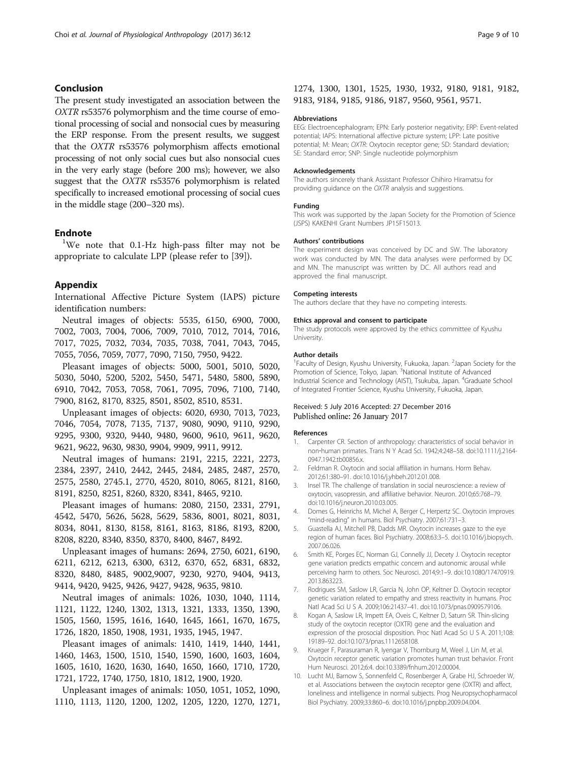## <span id="page-8-0"></span>Conclusion

The present study investigated an association between the OXTR rs53576 polymorphism and the time course of emotional processing of social and nonsocial cues by measuring the ERP response. From the present results, we suggest that the OXTR rs53576 polymorphism affects emotional processing of not only social cues but also nonsocial cues in the very early stage (before 200 ms); however, we also suggest that the OXTR rs53576 polymorphism is related specifically to increased emotional processing of social cues in the middle stage (200–320 ms).

## **Endnote**

<sup>1</sup>We note that 0.1-Hz high-pass filter may not be appropriate to calculate LPP (please refer to [\[39](#page-9-0)]).

### Appendix

International Affective Picture System (IAPS) picture identification numbers:

Neutral images of objects: 5535, 6150, 6900, 7000, 7002, 7003, 7004, 7006, 7009, 7010, 7012, 7014, 7016, 7017, 7025, 7032, 7034, 7035, 7038, 7041, 7043, 7045, 7055, 7056, 7059, 7077, 7090, 7150, 7950, 9422.

Pleasant images of objects: 5000, 5001, 5010, 5020, 5030, 5040, 5200, 5202, 5450, 5471, 5480, 5800, 5890, 6910, 7042, 7053, 7058, 7061, 7095, 7096, 7100, 7140, 7900, 8162, 8170, 8325, 8501, 8502, 8510, 8531.

Unpleasant images of objects: 6020, 6930, 7013, 7023, 7046, 7054, 7078, 7135, 7137, 9080, 9090, 9110, 9290, 9295, 9300, 9320, 9440, 9480, 9600, 9610, 9611, 9620, 9621, 9622, 9630, 9830, 9904, 9909, 9911, 9912.

Neutral images of humans: 2191, 2215, 2221, 2273, 2384, 2397, 2410, 2442, 2445, 2484, 2485, 2487, 2570, 2575, 2580, 2745.1, 2770, 4520, 8010, 8065, 8121, 8160, 8191, 8250, 8251, 8260, 8320, 8341, 8465, 9210.

Pleasant images of humans: 2080, 2150, 2331, 2791, 4542, 5470, 5626, 5628, 5629, 5836, 8001, 8021, 8031, 8034, 8041, 8130, 8158, 8161, 8163, 8186, 8193, 8200, 8208, 8220, 8340, 8350, 8370, 8400, 8467, 8492.

Unpleasant images of humans: 2694, 2750, 6021, 6190, 6211, 6212, 6213, 6300, 6312, 6370, 652, 6831, 6832, 8320, 8480, 8485, 9002,9007, 9230, 9270, 9404, 9413, 9414, 9420, 9425, 9426, 9427, 9428, 9635, 9810.

Neutral images of animals: 1026, 1030, 1040, 1114, 1121, 1122, 1240, 1302, 1313, 1321, 1333, 1350, 1390, 1505, 1560, 1595, 1616, 1640, 1645, 1661, 1670, 1675, 1726, 1820, 1850, 1908, 1931, 1935, 1945, 1947.

Pleasant images of animals: 1410, 1419, 1440, 1441, 1460, 1463, 1500, 1510, 1540, 1590, 1600, 1603, 1604, 1605, 1610, 1620, 1630, 1640, 1650, 1660, 1710, 1720, 1721, 1722, 1740, 1750, 1810, 1812, 1900, 1920.

Unpleasant images of animals: 1050, 1051, 1052, 1090, 1110, 1113, 1120, 1200, 1202, 1205, 1220, 1270, 1271,

## 1274, 1300, 1301, 1525, 1930, 1932, 9180, 9181, 9182, 9183, 9184, 9185, 9186, 9187, 9560, 9561, 9571.

#### Abbreviations

EEG: Electroencephalogram; EPN: Early posterior negativity; ERP: Event-related potential; IAPS: International affective picture system; LPP: Late positive potential; M: Mean; OXTR: Oxytocin receptor gene; SD: Standard deviation; SE: Standard error; SNP: Single nucleotide polymorphism

#### Acknowledgements

The authors sincerely thank Assistant Professor Chihiro Hiramatsu for providing guidance on the OXTR analysis and suggestions.

#### Funding

This work was supported by the Japan Society for the Promotion of Science (JSPS) KAKENHI Grant Numbers JP15F15013.

#### Authors' contributions

The experiment design was conceived by DC and SW. The laboratory work was conducted by MN. The data analyses were performed by DC and MN. The manuscript was written by DC. All authors read and approved the final manuscript.

#### Competing interests

The authors declare that they have no competing interests.

#### Ethics approval and consent to participate

The study protocols were approved by the ethics committee of Kyushu University.

#### Author details

<sup>1</sup> Faculty of Design, Kyushu University, Fukuoka, Japan. <sup>2</sup>Japan Society for the Promotion of Science, Tokyo, Japan. <sup>3</sup>National Institute of Advanced Industrial Science and Technology (AIST), Tsukuba, Japan. <sup>4</sup>Graduate School of Integrated Frontier Science, Kyushu University, Fukuoka, Japan.

#### Received: 5 July 2016 Accepted: 27 December 2016 Published online: 26 January 2017

#### References

- 1. Carpenter CR. Section of anthropology: characteristics of social behavior in non‐human primates. Trans N Y Acad Sci. 1942;4:248–58. doi[:10.1111/j.2164-](http://dx.doi.org/10.1111/j.2164-0947.1942.tb00856.x) [0947.1942.tb00856.x.](http://dx.doi.org/10.1111/j.2164-0947.1942.tb00856.x)
- 2. Feldman R. Oxytocin and social affiliation in humans. Horm Behav. 2012;61:380–91. doi:[10.1016/j.yhbeh.2012.01.008.](http://dx.doi.org/10.1016/j.yhbeh.2012.01.008)
- 3. Insel TR. The challenge of translation in social neuroscience: a review of oxytocin, vasopressin, and affiliative behavior. Neuron. 2010;65:768–79. doi[:10.1016/j.neuron.2010.03.005.](http://dx.doi.org/10.1016/j.neuron.2010.03.005)
- 4. Domes G, Heinrichs M, Michel A, Berger C, Herpertz SC. Oxytocin improves "mind-reading" in humans. Biol Psychiatry. 2007;61:731–3.
- 5. Guastella AJ, Mitchell PB, Dadds MR. Oxytocin increases gaze to the eye region of human faces. Biol Psychiatry. 2008;63:3–5. doi:[10.1016/j.biopsych.](http://dx.doi.org/10.1016/j.biopsych.2007.06.026) [2007.06.026.](http://dx.doi.org/10.1016/j.biopsych.2007.06.026)
- 6. Smith KE, Porges EC, Norman GJ, Connelly JJ, Decety J. Oxytocin receptor gene variation predicts empathic concern and autonomic arousal while perceiving harm to others. Soc Neurosci. 2014;9:1–9. doi[:10.1080/17470919.](http://dx.doi.org/10.1080/17470919.2013.863223) [2013.863223](http://dx.doi.org/10.1080/17470919.2013.863223).
- 7. Rodrigues SM, Saslow LR, Garcia N, John OP, Keltner D. Oxytocin receptor genetic variation related to empathy and stress reactivity in humans. Proc Natl Acad Sci U S A. 2009;106:21437–41. doi:[10.1073/pnas.0909579106](http://dx.doi.org/10.1073/pnas.0909579106).
- 8. Kogan A, Saslow LR, Impett EA, Oveis C, Keltner D, Saturn SR. Thin-slicing study of the oxytocin receptor (OXTR) gene and the evaluation and expression of the prosocial disposition. Proc Natl Acad Sci U S A. 2011;108: 19189–92. doi:[10.1073/pnas.1112658108.](http://dx.doi.org/10.1073/pnas.1112658108)
- 9. Krueger F, Parasuraman R, Iyengar V, Thornburg M, Weel J, Lin M, et al. Oxytocin receptor genetic variation promotes human trust behavior. Front Hum Neurosci. 2012;6:4. doi[:10.3389/fnhum.2012.00004](http://dx.doi.org/10.3389/fnhum.2012.00004).
- 10. Lucht MJ, Barnow S, Sonnenfeld C, Rosenberger A, Grabe HJ, Schroeder W, et al. Associations between the oxytocin receptor gene (OXTR) and affect, loneliness and intelligence in normal subjects. Prog Neuropsychopharmacol Biol Psychiatry. 2009;33:860–6. doi[:10.1016/j.pnpbp.2009.04.004.](http://dx.doi.org/10.1016/j.pnpbp.2009.04.004)